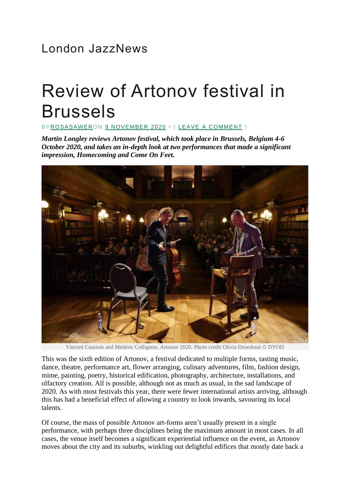## London JazzNews

## Review of Artonov festival in Brussels

B[YROSASAWERO](https://londonjazznews.com/author/rosasawer/)N [9 NOVEMBER 2020](https://londonjazznews.com/2020/11/09/review-of-festival-artonov-brussels/) • ( [LEAVE A COMMENT](https://londonjazznews.com/2020/11/09/review-of-festival-artonov-brussels/#respond) )

*Martin Longley reviews Artonov festival, which took place in Brussels, Belgium 4-6 October 2020, and takes an in-depth look at two performances that made a significant impression, Homecoming and Come On Feet.*



Vincent Courtois and Médéric Collignon, Artonov 2020. Photo credit Olivia Droeshaut © DYOD

This was the sixth edition of Artonov, a festival dedicated to multiple forms, tasting music, dance, theatre, performance art, flower arranging, culinary adventures, film, fashion design, mime, painting, poetry, historical edification, photography, architecture, installations, and olfactory creation. All is possible, although not as much as usual, in the sad landscape of 2020. As with most festivals this year, there were fewer international artists arriving, although this has had a beneficial effect of allowing a country to look inwards, savouring its local talents.

Of course, the mass of possible Artonov art-forms aren't usually present in a single performance, with perhaps three disciplines being the maximum amount in most cases. In all cases, the venue itself becomes a significant experiential influence on the event, as Artonov moves about the city and its suburbs, winkling out delightful edifices that mostly date back a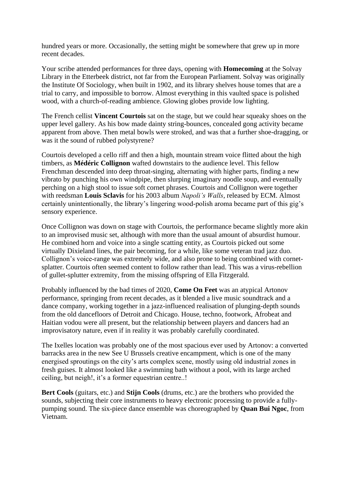hundred years or more. Occasionally, the setting might be somewhere that grew up in more recent decades.

Your scribe attended performances for three days, opening with **Homecoming** at the Solvay Library in the Etterbeek district, not far from the European Parliament. Solvay was originally the Institute Of Sociology, when built in 1902, and its library shelves house tomes that are a trial to carry, and impossible to borrow. Almost everything in this vaulted space is polished wood, with a church-of-reading ambience. Glowing globes provide low lighting.

The French cellist **Vincent Courtois** sat on the stage, but we could hear squeaky shoes on the upper level gallery. As his bow made dainty string-bounces, concealed gong activity became apparent from above. Then metal bowls were stroked, and was that a further shoe-dragging, or was it the sound of rubbed polystyrene?

Courtois developed a cello riff and then a high, mountain stream voice flitted about the high timbers, as **Médéric Collignon** wafted downstairs to the audience level. This fellow Frenchman descended into deep throat-singing, alternating with higher parts, finding a new vibrato by punching his own windpipe, then slurping imaginary noodle soup, and eventually perching on a high stool to issue soft cornet phrases. Courtois and Collignon were together with reedsman **Louis Sclavis** for his 2003 album *Napoli's Walls*, released by ECM. Almost certainly unintentionally, the library's lingering wood-polish aroma became part of this gig's sensory experience.

Once Collignon was down on stage with Courtois, the performance became slightly more akin to an improvised music set, although with more than the usual amount of absurdist humour. He combined horn and voice into a single scatting entity, as Courtois picked out some virtually Dixieland lines, the pair becoming, for a while, like some veteran trad jazz duo. Collignon's voice-range was extremely wide, and also prone to being combined with cornetsplatter. Courtois often seemed content to follow rather than lead. This was a virus-rebellion of gullet-splutter extremity, from the missing offspring of Ella Fitzgerald.

Probably influenced by the bad times of 2020, **Come On Feet** was an atypical Artonov performance, springing from recent decades, as it blended a live music soundtrack and a dance company, working together in a jazz-influenced realisation of plunging-depth sounds from the old dancefloors of Detroit and Chicago. House, techno, footwork, Afrobeat and Haitian vodou were all present, but the relationship between players and dancers had an improvisatory nature, even if in reality it was probably carefully coordinated.

The Ixelles location was probably one of the most spacious ever used by Artonov: a converted barracks area in the new See U Brussels creative encampment, which is one of the many energised sproutings on the city's arts complex scene, mostly using old industrial zones in fresh guises. It almost looked like a swimming bath without a pool, with its large arched ceiling, but neigh!, it's a former equestrian centre..!

**Bert Cools** (guitars, etc.) and **Stijn Cools** (drums, etc.) are the brothers who provided the sounds, subjecting their core instruments to heavy electronic processing to provide a fullypumping sound. The six-piece dance ensemble was choreographed by **Quan Bui Ngoc**, from Vietnam.